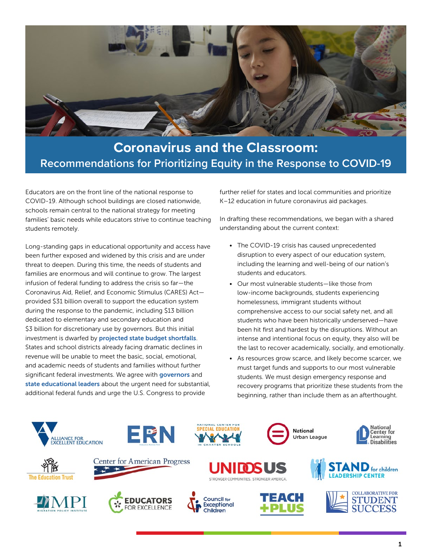

## **Coronavirus and the Classroom: Recommendations for Prioritizing Equity in the Response to COVID-19**

Educators are on the front line of the national response to COVID-19. Although school buildings are closed nationwide, schools remain central to the national strategy for meeting families' basic needs while educators strive to continue teaching students remotely.

Long-standing gaps in educational opportunity and access have been further exposed and widened by this crisis and are under threat to deepen. During this time, the needs of students and families are enormous and will continue to grow. The largest infusion of federal funding to address the crisis so far—the Coronavirus Aid, Relief, and Economic Stimulus (CARES) Act provided \$31 billion overall to support the education system during the response to the pandemic, including \$13 billion dedicated to elementary and secondary education and \$3 billion for discretionary use by governors. But this initial investment is dwarfed by [projected state budget shortfalls](https://www.cbpp.org/blog/new-cbo-projections-suggest-even-bigger-state-shortfalls). States and school districts already facing dramatic declines in revenue will be unable to meet the basic, social, emotional, and academic needs of students and families without further significant federal investments. We agree with [governors](https://www.nga.org/news/press-releases/national-governors-association-outlines-need-for-additional-and-immediate-fiscal-assistance-to-states/) and [state educational leaders](https://ccsso.org/sites/default/files/2020-04/CCSSO%20NASBE%20COVID%20Letter.pdf) about the urgent need for substantial, additional federal funds and urge the U.S. Congress to provide

further relief for states and local communities and prioritize K–12 education in future coronavirus aid packages.

In drafting these recommendations, we began with a shared understanding about the current context:

- The COVID-19 crisis has caused unprecedented disruption to every aspect of our education system, including the learning and well-being of our nation's students and educators.
- Our most vulnerable students—like those from low-income backgrounds, students experiencing homelessness, immigrant students without comprehensive access to our social safety net, and all students who have been historically underserved—have been hit first and hardest by the disruptions. Without an intense and intentional focus on equity, they also will be the last to recover academically, socially, and emotionally.
- As resources grow scarce, and likely become scarcer, we must target funds and supports to our most vulnerable students. We must design emergency response and recovery programs that prioritize these students from the beginning, rather than include them as an afterthought.

**National** Urban League

















National<br>Center for

Learning<br>Disabilities

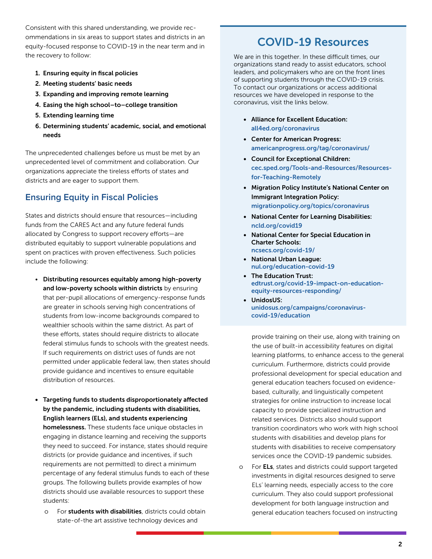Consistent with this shared understanding, we provide recommendations in six areas to support states and districts in an equity-focused response to COVID-19 in the near term and in the recovery to follow:

- 1. Ensuring equity in fiscal policies
- 2. Meeting students' basic needs
- 3. Expanding and improving remote learning
- 4. Easing the high school–to–college transition
- 5. Extending learning time
- 6. Determining students' academic, social, and emotional needs

The unprecedented challenges before us must be met by an unprecedented level of commitment and collaboration. Our organizations appreciate the tireless efforts of states and districts and are eager to support them.

### **Ensuring Equity in Fiscal Policies**

States and districts should ensure that resources—including funds from the CARES Act and any future federal funds allocated by Congress to support recovery efforts—are distributed equitably to support vulnerable populations and spent on practices with proven effectiveness. Such policies include the following:

- Distributing resources equitably among high-poverty and low-poverty schools within districts by ensuring that per-pupil allocations of emergency-response funds are greater in schools serving high concentrations of students from low-income backgrounds compared to wealthier schools within the same district. As part of these efforts, states should require districts to allocate federal stimulus funds to schools with the greatest needs. If such requirements on district uses of funds are not permitted under applicable federal law, then states should provide guidance and incentives to ensure equitable distribution of resources.
- Targeting funds to students disproportionately affected by the pandemic, including students with disabilities, English learners (ELs), and students experiencing homelessness. These students face unique obstacles in engaging in distance learning and receiving the supports they need to succeed. For instance, states should require districts (or provide guidance and incentives, if such requirements are not permitted) to direct a minimum percentage of any federal stimulus funds to each of these groups. The following bullets provide examples of how districts should use available resources to support these students:
	- o For students with disabilities, districts could obtain state-of-the art assistive technology devices and

## COVID-19 Resources

We are in this together. In these difficult times, our organizations stand ready to assist educators, school leaders, and policymakers who are on the front lines of supporting students through the COVID-19 crisis. To contact our organizations or access additional resources we have developed in response to the coronavirus, visit the links below.

- Alliance for Excellent Education: [all4ed.org/coronavirus](https://futureready.org/coronavirus/)
- Center for American Progress: [americanprogress.org/tag/coronavirus/](https://www.americanprogress.org/tag/coronavirus/)
- Council for Exceptional Children: [cec.sped.org/Tools-and-Resources/Resources](https://cec.sped.org/Tools-and-Resources/Resources-for-Teaching-Remotely)[for-Teaching-Remotely](https://cec.sped.org/Tools-and-Resources/Resources-for-Teaching-Remotely)
- Migration Policy Institute's National Center on Immigrant Integration Policy: [migrationpolicy.org/topics/coronavirus](https://www.migrationpolicy.org/topics/coronavirus)
- National Center for Learning Disabilities: [ncld.org/covid19](https://www.ncld.org/covid19)
- National Center for Special Education in Charter Schools: [ncsecs.org/covid-19/](https://www.ncsecs.org/covid-19/)
- National Urban League: [nul.org/education-covid-19](https://nul.org/education-covid-19)
- The Education Trust: [edtrust.org/covid-19-impact-on-education](https://edtrust.org/covid-19-impact-on-education-equity-resources-responding/)[equity-resources-responding/](https://edtrust.org/covid-19-impact-on-education-equity-resources-responding/)
- UnidosUS: [unidosus.org/campaigns/coronavirus](https://www.unidosus.org/campaigns/coronavirus-covid-19/education)[covid-19/education](https://www.unidosus.org/campaigns/coronavirus-covid-19/education)

provide training on their use, along with training on the use of built-in accessibility features on digital learning platforms, to enhance access to the general curriculum. Furthermore, districts could provide professional development for special education and general education teachers focused on evidencebased, culturally, and linguistically competent strategies for online instruction to increase local capacity to provide specialized instruction and related services. Districts also should support transition coordinators who work with high school students with disabilities and develop plans for students with disabilities to receive compensatory services once the COVID-19 pandemic subsides.

o For ELs, states and districts could support targeted investments in digital resources designed to serve ELs' learning needs, especially access to the core curriculum. They also could support professional development for both language instruction and general education teachers focused on instructing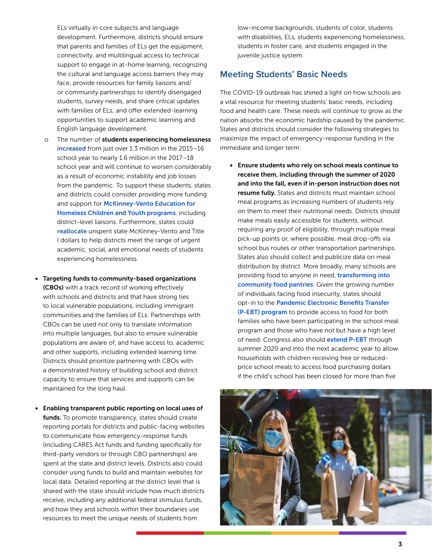ELs virtually in core subjects and language development. Furthermore, districts should ensure that parents and families of ELs get the equipment, connectivity, and multilingual access to technical support to engage in at-home learning, recognizing the cultural and language access barriers they may face; provide resources for family liaisons and/ or community partnerships to identify disengaged students, survey needs, and share critical updates with families of ELs; and offer extended-learning opportunities to support academic learning and English language development.

- The number of students experiencing homelessness [increased](https://nche.ed.gov/wp-content/uploads/2020/01/Federal-Data-Summary-SY-15.16-to-17.18-Published-1.30.2020.pdf) from just over 1.3 million in the 2015–16 school year to nearly 1.6 million in the 2017–18 school year and will continue to worsen considerably as a result of economic instability and job losses from the pandemic. To support these students, states and districts could consider providing more funding andsupport for McKinney-Vento Education for [Homeless Children and Youth program](https://www.schoolhouseconnection.org/mckinney-vento-act-two-page-summary/)s, including district-level liaisons. Furthermore, states could [reallocate](http://education.ohio.gov/Topics/Student-Supports/Coronavirus/District-and-State-Support-for-Homeless-Students-D) unspent state McKinney-Vento and Title I dollars to help districts meet the range of urgent academic, social, and emotional needs of students experiencing homelessness.
- Targeting funds to community-based organizations (CBOs) with a track record of working effectively with schools and districts and that have strong ties to local vulnerable populations, including immigrant communities and the families of ELs. Partnerships with CBOs can be used not only to translate information into multiple languages, but also to ensure vulnerable populations are aware of, and have access to, academic and other supports, including extended learning time. Districts should prioritize partnering with CBOs with a demonstrated history of building school and district capacity to ensure that services and supports can be maintained for the long haul.
- Enabling transparent public reporting on local uses of funds. To promote transparency, states should create reporting portals for districts and public-facing websites to communicate how emergency-response funds (including CARES Act funds and funding specifically for third-party vendors or through CBO partnerships) are spent at the state and district levels. Districts also could consider using funds to build and maintain websites for local data. Detailed reporting at the district level that is shared with the state should include how much districts receive, including any additional federal stimulus funds, and how they and schools within their boundaries use resources to meet the unique needs of students from

low-income backgrounds, students of color, students with disabilities, ELs, students experiencing homelessness, students in foster care, and students engaged in the juvenile justice system.

#### **Meeting Students' Basic Needs**

The COVID-19 outbreak has shined a light on how schools are a vital resource for meeting students' basic needs, including food and health care. These needs will continue to grow as the nation absorbs the economic hardship caused by the pandemic. States and districts should consider the following strategies to maximize the impact of emergency-response funding in the immediate and longer term:

• Ensure students who rely on school meals continue to receive them, including through the summer of 2020 and into the fall, even if in-person instruction does not resume fully. States and districts must maintain school meal programs as increasing numbers of students rely on them to meet their nutritional needs. Districts should make meals easily accessible for students, without requiring any proof of eligibility, through multiple meal pick-up points or, where possible, meal drop-offs via school bus routes or other transportation partnerships. States also should collect and publicize data on meal distribution by district. More broadly, many schools are providing food to anyone in need[,](https://www.nytimes.com/2020/04/19/us/politics/coronavirus-school-meals-relief.html) **transforming into** [community food pantries](https://www.nytimes.com/2020/04/19/us/politics/coronavirus-school-meals-relief.html). Given the growing number of individuals facing food insecurity, states should opt-in to the [Pandemic Electronic Benefits Transfer](https://edtrust.org/resource/child-hunger-and-the-coronavirus-pandemic/)  [\(P-EBT\)](https://edtrust.org/resource/child-hunger-and-the-coronavirus-pandemic/) program to provide access to food for both families who have been participating in the school meal program and those who have not but have a high level of need. Congress also should **[extend P-EBT](https://edtrust.org/press-release/joint-letter-to-u-s-house-and-senate-leadership-calling-for-expanded-access-to-food-assistance/)** through summer 2020 and into the next academic year to allow households with children receiving free or reducedprice school meals to access food purchasing dollars if the child's school has been closed for more than five

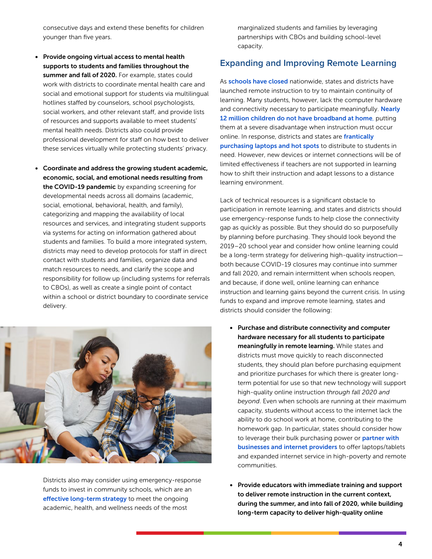consecutive days and extend these benefits for children younger than five years.

- Provide ongoing virtual access to mental health supports to students and families throughout the summer and fall of 2020. For example, states could work with districts to coordinate mental health care and social and emotional support for students via multilingual hotlines staffed by counselors, school psychologists, social workers, and other relevant staff, and provide lists of resources and supports available to meet students' mental health needs. Districts also could provide professional development for staff on how best to deliver these services virtually while protecting students' privacy.
- Coordinate and address the growing student academic, economic, social, and emotional needs resulting from the COVID-19 pandemic by expanding screening for developmental needs across all domains (academic, social, emotional, behavioral, health, and family), categorizing and mapping the availability of local resources and services, and integrating student supports via systems for acting on information gathered about students and families. To build a more integrated system, districts may need to develop protocols for staff in direct contact with students and families, organize data and match resources to needs, and clarify the scope and responsibility for follow up (including systems for referrals to CBOs), as well as create a single point of contact within a school or district boundary to coordinate service delivery.



Districts also may consider using emergency-response funds to invest in community schools, which are an [effective long-term strategy](https://learningpolicyinstitute.org/product/community-schools-effective-school-improvement-report) to meet the ongoing academic, health, and wellness needs of the most

marginalized students and families by leveraging partnerships with CBOs and building school-level capacity.

#### **Expanding and Improving Remote Learning**

As**[schools have closed](https://www.edweek.org/ew/section/multimedia/map-coronavirus-and-school-closures.html?intc=main-mpsmvs)** nationwide, states and districts have launched remote instruction to try to maintain continuity of learning. Many students, however, lack the computer hardware and connectivity necessary to participate meaningfully[.](https://www.jec.senate.gov/public/_cache/files/ff7b3d0b-bc00-4498-9f9d-3e56ef95088f/the-digital-divide-.pdf) Nearly [12 million children do not have broadband at home](https://www.jec.senate.gov/public/_cache/files/ff7b3d0b-bc00-4498-9f9d-3e56ef95088f/the-digital-divide-.pdf), putting them at a severe disadvantage when instruction must occur online. In response, districts and states are [frantically](https://www.edweek.org/ew/articles/2020/04/01/coronavirus-squeezes-supply-of-chromebooks-ipads-and.html)  [purchasing laptops and hot spots](https://www.edweek.org/ew/articles/2020/04/01/coronavirus-squeezes-supply-of-chromebooks-ipads-and.html) to distribute to students in need. However, new devices or internet connections will be of limited effectiveness if teachers are not supported in learning how to shift their instruction and adapt lessons to a distance learning environment.

Lack of technical resources is a significant obstacle to participation in remote learning, and states and districts should use emergency-response funds to help close the connectivity gap as quickly as possible. But they should do so purposefully by planning before purchasing. They should look beyond the 2019–20 school year and consider how online learning could be a long-term strategy for delivering high-quality instruction both because COVID-19 closures may continue into summer and fall 2020, and remain intermittent when schools reopen, and because, if done well, online learning can enhance instruction and learning gains beyond the current crisis. In using funds to expand and improve remote learning, states and districts should consider the following:

- Purchase and distribute connectivity and computer hardware necessary for all students to participate meaningfully in remote learning. While states and districts must move quickly to reach disconnected students, they should plan before purchasing equipment and prioritize purchases for which there is greater longterm potential for use so that new technology will support high-quality online instruction *through fall 2020 and beyond*. Even when schools are running at their maximum capacity, students without access to the internet lack the ability to do school work at home, contributing to the homework gap. In particular, states should consider how to leverage thei[r](https://www.gov.ca.gov/2020/04/01/governor-newsom-announces-agreement-between-teachers-classified-employees-and-school-system-management-to-support-student-instruction-during-covid-19-outbreak/) bulk purchasing power or partner with [businesses and internet providers](https://www.gov.ca.gov/2020/04/01/governor-newsom-announces-agreement-between-teachers-classified-employees-and-school-system-management-to-support-student-instruction-during-covid-19-outbreak/) to offer laptops/tablets and expanded internet service in high-poverty and remote communities.
- Provide educators with immediate training and support to deliver remote instruction in the current context, during the summer, and into fall of 2020, while building long-term capacity to deliver high-quality online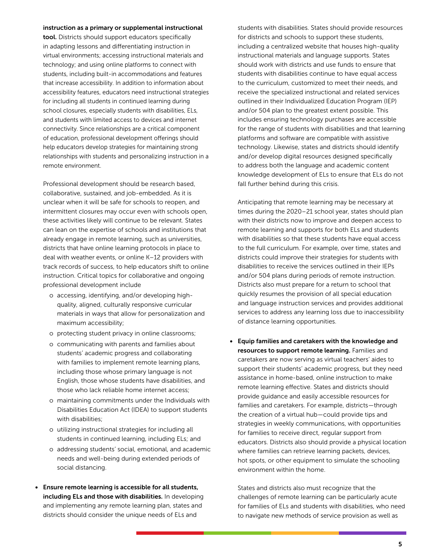#### instruction as a primary or supplemental instructional

tool. Districts should support educators specifically in adapting lessons and differentiating instruction in virtual environments; accessing instructional materials and technology; and using online platforms to connect with students, including built-in accommodations and features that increase accessibility. In addition to information about accessibility features, educators need instructional strategies for including all students in continued learning during school closures, especially students with disabilities, ELs, and students with limited access to devices and internet connectivity. Since relationships are a critical component of education, professional development offerings should help educators develop strategies for maintaining strong relationships with students and personalizing instruction in a remote environment.

Professional development should be research based, collaborative, sustained, and job-embedded. As it is unclear when it will be safe for schools to reopen, and intermittent closures may occur even with schools open, these activities likely will continue to be relevant. States can lean on the expertise of schools and institutions that already engage in remote learning, such as universities, districts that have online learning protocols in place to deal with weather events, or online K–12 providers with track records of success, to help educators shift to online instruction. Critical topics for collaborative and ongoing professional development include

- o accessing, identifying, and/or developing highquality, aligned, culturally responsive curricular materials in ways that allow for personalization and maximum accessibility;
- o protecting student privacy in online classrooms;
- o communicating with parents and families about students' academic progress and collaborating with families to implement remote learning plans, including those whose primary language is not English, those whose students have disabilities, and those who lack reliable home internet access;
- o maintaining commitments under the Individuals with Disabilities Education Act (IDEA) to support students with disabilities;
- o utilizing instructional strategies for including all students in continued learning, including ELs; and
- o addressing students' social, emotional, and academic needs and well-being during extended periods of social distancing.
- Ensure remote learning is accessible for all students, including ELs and those with disabilities. In developing and implementing any remote learning plan, states and districts should consider the unique needs of ELs and

students with disabilities. States should provide resources for districts and schools to support these students, including a centralized website that houses high-quality instructional materials and language supports. States should work with districts and use funds to ensure that students with disabilities continue to have equal access to the curriculum, customized to meet their needs, and receive the specialized instructional and related services outlined in their Individualized Education Program (IEP) and/or 504 plan to the greatest extent possible. This includes ensuring technology purchases are accessible for the range of students with disabilities and that learning platforms and software are compatible with assistive technology. Likewise, states and districts should identify and/or develop digital resources designed specifically to address both the language and academic content knowledge development of ELs to ensure that ELs do not fall further behind during this crisis.

Anticipating that remote learning may be necessary at times during the 2020–21 school year, states should plan with their districts now to improve and deepen access to remote learning and supports for both ELs and students with disabilities so that these students have equal access to the full curriculum. For example, over time, states and districts could improve their strategies for students with disabilities to receive the services outlined in their IEPs and/or 504 plans during periods of remote instruction. Districts also must prepare for a return to school that quickly resumes the provision of all special education and language instruction services and provides additional services to address any learning loss due to inaccessibility of distance learning opportunities.

• Equip families and caretakers with the knowledge and resources to support remote learning. Families and caretakers are now serving as virtual teachers' aides to support their students' academic progress, but they need assistance in home-based, online instruction to make remote learning effective. States and districts should provide guidance and easily accessible resources for families and caretakers. For example, districts—through the creation of a virtual hub—could provide tips and strategies in weekly communications, with opportunities for families to receive direct, regular support from educators. Districts also should provide a physical location where families can retrieve learning packets, devices, hot spots, or other equipment to simulate the schooling environment within the home.

States and districts also must recognize that the challenges of remote learning can be particularly acute for families of ELs and students with disabilities, who need to navigate new methods of service provision as well as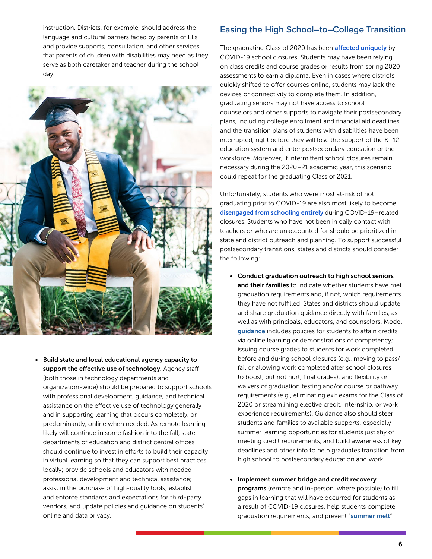instruction. Districts, for example, should address the language and cultural barriers faced by parents of ELs and provide supports, consultation, and other services that parents of children with disabilities may need as they serve as both caretaker and teacher during the school day.



• Build state and local educational agency capacity to support the effective use of technology. Agency staff (both those in technology departments and organization-wide) should be prepared to support schools with professional development, guidance, and technical assistance on the effective use of technology generally and in supporting learning that occurs completely, or predominantly, online when needed. As remote learning likely will continue in some fashion into the fall, state departments of education and district central offices should continue to invest in efforts to build their capacity in virtual learning so that they can support best practices locally; provide schools and educators with needed professional development and technical assistance; assist in the purchase of high-quality tools; establish and enforce standards and expectations for third-party vendors; and update policies and guidance on students' online and data privacy.

#### **Easing the High School–to–College Transition**

The graduating Class of 2020 has bee[n](https://www.americaspromise.org/content/considerations-and-faqs-leaders-managing-high-school-experience-during-covid-19) **[affected](https://www.americaspromise.org/content/considerations-and-faqs-leaders-managing-high-school-experience-during-covid-19) uniquely** by COVID-19 school closures. Students may have been relying on class credits and course grades or results from spring 2020 assessments to earn a diploma. Even in cases where districts quickly shifted to offer courses online, students may lack the devices or connectivity to complete them. In addition, graduating seniors may not have access to school counselors and other supports to navigate their postsecondary plans, including college enrollment and financial aid deadlines, and the transition plans of students with disabilities have been interrupted, right before they will lose the support of the K–12 education system and enter postsecondary education or the workforce. Moreover, if intermittent school closures remain necessary during the 2020–21 academic year, this scenario could repeat for the graduating Class of 2021.

Unfortunately, students who were most at-risk of not graduating prior to COVID-19 are also most likely to become [disengaged from schooling entirely](https://www.latimes.com/california/story/2020-03-30/coronavirus-los-angeles-schools-15000-high-school-students-absent) during COVID-19–related closures. Students who have not been in daily contact with teachers or who are unaccounted for should be prioritized in state and district outreach and planning. To support successful postsecondary transitions, states and districts should consider the following:

- Conduct graduation outreach to high school seniors and their families to indicate whether students have met graduation requirements and, if not, which requirements they have not fulfilled. States and districts should update and share graduation guidance directly with families, as well as with principals, educators, and counselors. Model [guidance](https://www.cde.ca.gov/ls/he/hn/gradegraduationfaq.asp) includes policies for students to attain credits via online learning or demonstrations of competency; issuing course grades to students for work completed before and during school closures (e.g., moving to pass/ fail or allowing work completed after school closures to boost, but not hurt, final grades); and flexibility or waivers of graduation testing and/or course or pathway requirements (e.g., eliminating exit exams for the Class of 2020 or streamlining elective credit, internship, or work experience requirements). Guidance also should steer students and families to available supports, especially summer learning opportunities for students just shy of meeting credit requirements, and build awareness of key deadlines and other info to help graduates transition from high school to postsecondary education and work.
- Implement summer bridge and credit recovery programs (remote and in-person, where possible) to fill gaps in learning that will have occurred for students as a result of COVID-19 closures, help students complete graduation requirements, and prevent "[summer melt](https://www.npr.org/2018/06/18/621023537/summer-melt-why-arent-students-showing-up-for-college)"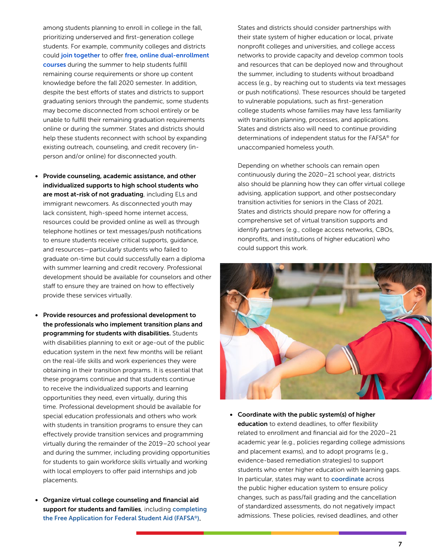among students planning to enroll in college in the fall, prioritizing underserved and first-generation college students. For example, community colleges and districts coul[d](https://edsource.org/2020/los-angeles-schools-to-stay-closed-for-remainder-of-school-year/628942) [join together](https://edsource.org/2020/los-angeles-schools-to-stay-closed-for-remainder-of-school-year/628942) to offer [free, online dual-enrollment](https://www.insidenova.com/news/nova-to-offer-jumpstart-tuition-free-summer-online-courses-for-high-schoolers/article_d85d6cfa-7ff6-11ea-a40e-c7859f3af799.html)  [courses](https://www.insidenova.com/news/nova-to-offer-jumpstart-tuition-free-summer-online-courses-for-high-schoolers/article_d85d6cfa-7ff6-11ea-a40e-c7859f3af799.html) during the summer to help students fulfill remaining course requirements or shore up content knowledge before the fall 2020 semester. In addition, despite the best efforts of states and districts to support graduating seniors through the pandemic, some students may become disconnected from school entirely or be unable to fulfill their remaining graduation requirements online or during the summer. States and districts should help these students reconnect with school by expanding existing outreach, counseling, and credit recovery (inperson and/or online) for disconnected youth.

- Provide counseling, academic assistance, and other individualized supports to high school students who are most at-risk of not graduating, including ELs and immigrant newcomers. As disconnected youth may lack consistent, high-speed home internet access, resources could be provided online as well as through telephone hotlines or text messages/push notifications to ensure students receive critical supports, guidance, and resources—particularly students who failed to graduate on-time but could successfully earn a diploma with summer learning and credit recovery. Professional development should be available for counselors and other staff to ensure they are trained on how to effectively provide these services virtually.
- Provide resources and professional development to the professionals who implement transition plans and programming for students with disabilities. Students with disabilities planning to exit or age-out of the public education system in the next few months will be reliant on the real-life skills and work experiences they were obtaining in their transition programs. It is essential that these programs continue and that students continue to receive the individualized supports and learning opportunities they need, even virtually, during this time. Professional development should be available for special education professionals and others who work with students in transition programs to ensure they can effectively provide transition services and programming virtually during the remainder of the 2019–20 school year and during the summer, including providing opportunities for students to gain workforce skills virtually and working with local employers to offer paid internships and job placements.
- Organize virtual college counseling and financial aid support for students and families, including completing [the Free Application for Federal Student Aid \(FAFSA®\).](https://public.tableau.com/profile/bill.debaun.national.college.access.network#!/vizhome/COVID-19andFAFSACompletion/COVID-19FAFSA)

States and districts should consider partnerships with their state system of higher education or local, private nonprofit colleges and universities, and college access networks to provide capacity and develop common tools and resources that can be deployed now and throughout the summer, including to students without broadband access (e.g., by reaching out to students via text messages or push notifications). These resources should be targeted to vulnerable populations, such as first-generation college students whose families may have less familiarity with transition planning, processes, and applications. States and districts also will need to continue providing determinations of independent status for the FAFSA® for unaccompanied homeless youth.

Depending on whether schools can remain open continuously during the 2020–21 school year, districts also should be planning how they can offer virtual college advising, application support, and other postsecondary transition activities for seniors in the Class of 2021. States and districts should prepare now for offering a comprehensive set of virtual transition supports and identify partners (e.g., college access networks, CBOs, nonprofits, and institutions of higher education) who could support this work.



• Coordinate with the public system(s) of higher education to extend deadlines, to offer flexibility related to enrollment and financial aid for the 2020–21 academic year (e.g., policies regarding college admissions and placement exams), and to adopt programs (e.g., evidence-based remediation strategies) to support students who enter higher education with learning gaps. In particular, states may want to **[coordinate](https://www.cde.ca.gov/ls/he/hn/collegereqsinformation.asp)** across the public higher education system to ensure policy changes, such as pass/fail grading and the cancellation of standardized assessments, do not negatively impact admissions. These policies, revised deadlines, and other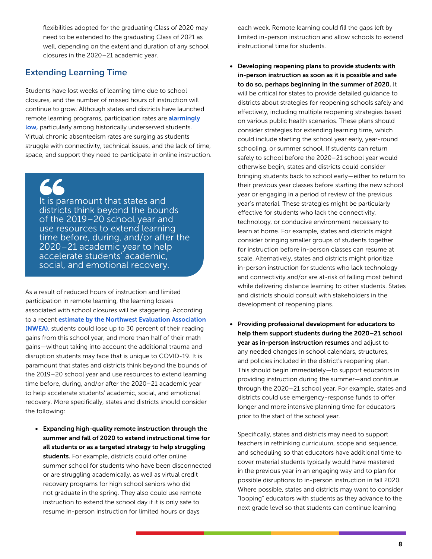flexibilities adopted for the graduating Class of 2020 may need to be extended to the graduating Class of 2021 as well, depending on the extent and duration of any school closures in the 2020–21 academic year.

#### **Extending Learning Time**

Students have lost weeks of learning time due to school closures, and the number of missed hours of instruction will continue to grow. Although states and districts have launched remote learning programs, participation rates are **alarmingly** [low,](https://www.nytimes.com/2020/04/06/us/coronavirus-schools-attendance-absent.html) particularly among historically underserved students. Virtual chronic absenteeism rates are surging as students struggle with connectivity, technical issues, and the lack of time, space, and support they need to participate in online instruction.

It is paramount that states and districts think beyond the bounds of the 2019–20 school year and use resources to extend learning time before, during, and/or after the 2020–21 academic year to help accelerate students' academic, social, and emotional recovery.

As a result of reduced hours of instruction and limited participation in remote learning, the learning losses associated with school closures will be staggering. According to a recent [estimate by the Northwest Evaluation Association](https://www.nwea.org/research/publication/the-covid-19-slide-what-summer-learning-loss-can-tell-us-about-the-potential-impact-of-school-closures-on-student-academic-achievement/)  [\(NWEA\)](https://www.nwea.org/research/publication/the-covid-19-slide-what-summer-learning-loss-can-tell-us-about-the-potential-impact-of-school-closures-on-student-academic-achievement/), students could lose up to 30 percent of their reading gains from this school year, and more than half of their math gains—without taking into account the additional trauma and disruption students may face that is unique to COVID-19. It is paramount that states and districts think beyond the bounds of the 2019–20 school year and use resources to extend learning time before, during, and/or after the 2020–21 academic year to help accelerate students' academic, social, and emotional recovery. More specifically, states and districts should consider the following:

• Expanding high-quality remote instruction through the summer and fall of 2020 to extend instructional time for all students or as a targeted strategy to help struggling students. For example, districts could offer online summer school for students who have been disconnected or are struggling academically, as well as virtual credit recovery programs for high school seniors who did not graduate in the spring. They also could use remote instruction to extend the school day if it is only safe to resume in-person instruction for limited hours or days

each week. Remote learning could fill the gaps left by limited in-person instruction and allow schools to extend instructional time for students.

- Developing reopening plans to provide students with in-person instruction as soon as it is possible and safe to do so, perhaps beginning in the summer of 2020. It will be critical for states to provide detailed guidance to districts about strategies for reopening schools safely and effectively, including multiple reopening strategies based on various public health scenarios. These plans should consider strategies for extending learning time, which could include starting the school year early, year-round schooling, or summer school. If students can return safely to school before the 2020–21 school year would otherwise begin, states and districts could consider bringing students back to school early—either to return to their previous year classes before starting the new school year or engaging in a period of review of the previous year's material. These strategies might be particularly effective for students who lack the connectivity, technology, or conducive environment necessary to learn at home. For example, states and districts might consider bringing smaller groups of students together for instruction before in-person classes can resume at scale. Alternatively, states and districts might prioritize in-person instruction for students who lack technology and connectivity and/or are at-risk of falling most behind while delivering distance learning to other students. States and districts should consult with stakeholders in the development of reopening plans.
- Providing professional development for educators to help them support students during the 2020–21 school year as in-person instruction resumes and adjust to any needed changes in school calendars, structures, and policies included in the district's reopening plan. This should begin immediately—to support educators in providing instruction during the summer—and continue through the 2020–21 school year. For example, states and districts could use emergency-response funds to offer longer and more intensive planning time for educators prior to the start of the school year.

Specifically, states and districts may need to support teachers in rethinking curriculum, scope and sequence, and scheduling so that educators have additional time to cover material students typically would have mastered in the previous year in an engaging way and to plan for possible disruptions to in-person instruction in fall 2020. Where possible, states and districts may want to consider "looping" educators with students as they advance to the next grade level so that students can continue learning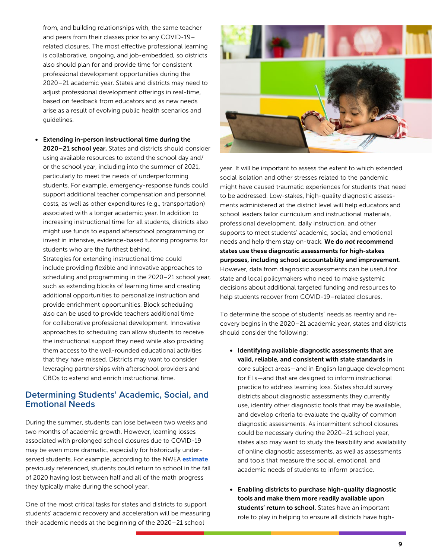from, and building relationships with, the same teacher and peers from their classes prior to any COVID-19– related closures. The most effective professional learning is collaborative, ongoing, and job-embedded, so districts also should plan for and provide time for consistent professional development opportunities during the 2020–21 academic year. States and districts may need to adjust professional development offerings in real-time, based on feedback from educators and as new needs arise as a result of evolving public health scenarios and guidelines.

• Extending in-person instructional time during the 2020–21 school year. States and districts should consider using available resources to extend the school day and/ or the school year, including into the summer of 2021, particularly to meet the needs of underperforming students. For example, emergency-response funds could support additional teacher compensation and personnel costs, as well as other expenditures (e.g., transportation) associated with a longer academic year. In addition to increasing instructional time for all students, districts also might use funds to expand afterschool programming or invest in intensive, evidence-based tutoring programs for students who are the furthest behind.

Strategies for extending instructional time could include providing flexible and innovative approaches to scheduling and programming in the 2020–21 school year, such as extending blocks of learning time and creating additional opportunities to personalize instruction and provide enrichment opportunities. Block scheduling also can be used to provide teachers additional time for collaborative professional development. Innovative approaches to scheduling can allow students to receive the instructional support they need while also providing them access to the well-rounded educational activities that they have missed. Districts may want to consider leveraging partnerships with afterschool providers and CBOs to extend and enrich instructional time.

#### **Determining Students' Academic, Social, and Emotional Needs**

During the summer, students can lose between two weeks and two months of academic growth. However, learning losses associated with prolonged school closures due to COVID-19 may be even more dramatic, especially for historically under-served students. For example, according to the NWE[A](https://www.nwea.org/content/uploads/2020/04/Collaborative-Brief_Covid19-Slide-APR20.pdf) [estimate](https://www.nwea.org/content/uploads/2020/04/Collaborative-Brief_Covid19-Slide-APR20.pdf) previously referenced, students could return to school in the fall of 2020 having lost between half and all of the math progress they typically make during the school year.

One of the most critical tasks for states and districts to support students' academic recovery and acceleration will be measuring their academic needs at the beginning of the 2020–21 school



year. It will be important to assess the extent to which extended social isolation and other stresses related to the pandemic might have caused traumatic experiences for students that need to be addressed. Low-stakes, high-quality diagnostic assessments administered at the district level will help educators and school leaders tailor curriculum and instructional materials, professional development, daily instruction, and other supports to meet students' academic, social, and emotional needs and help them stay on-track. We do *not* recommend states use these diagnostic assessments for high-stakes purposes, including school accountability and improvement. However, data from diagnostic assessments can be useful for state and local policymakers who need to make systemic decisions about additional targeted funding and resources to help students recover from COVID-19–related closures.

To determine the scope of students' needs as reentry and recovery begins in the 2020–21 academic year, states and districts should consider the following:

- Identifying available diagnostic assessments that are valid, reliable, and consistent with state standards in core subject areas—and in English language development for ELs—and that are designed to inform instructional practice to address learning loss. States should survey districts about diagnostic assessments they currently use, identify other diagnostic tools that may be available, and develop criteria to evaluate the quality of common diagnostic assessments. As intermittent school closures could be necessary during the 2020–21 school year, states also may want to study the feasibility and availability of online diagnostic assessments, as well as assessments and tools that measure the social, emotional, and academic needs of students to inform practice.
- Enabling districts to purchase high-quality diagnostic tools and make them more readily available upon students' return to school. States have an important role to play in helping to ensure all districts have high-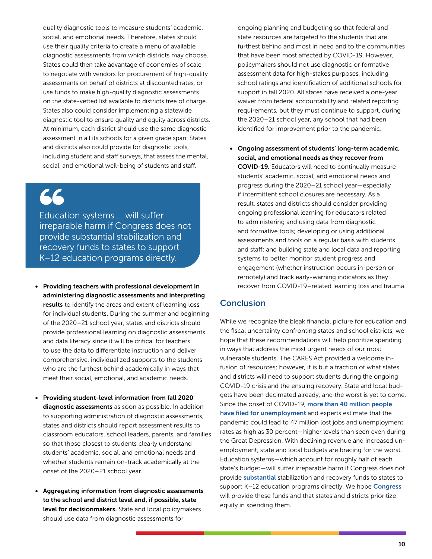quality diagnostic tools to measure students' academic, social, and emotional needs. Therefore, states should use their quality criteria to create a menu of available diagnostic assessments from which districts may choose. States could then take advantage of economies of scale to negotiate with vendors for procurement of high-quality assessments on behalf of districts at discounted rates, or use funds to make high-quality diagnostic assessments on the state-vetted list available to districts free of charge. States also could consider implementing a statewide diagnostic tool to ensure quality and equity across districts. At minimum, each district should use the same diagnostic assessment in all its schools for a given grade span. States and districts also could provide for diagnostic tools, including student and staff surveys, that assess the mental, social, and emotional well-being of students and staff.

# 66

Education systems ... will suffer irreparable harm if Congress does not provide substantial stabilization and recovery funds to states to support K–12 education programs directly.

- Providing teachers with professional development in administering diagnostic assessments and interpreting results to identify the areas and extent of learning loss for individual students. During the summer and beginning of the 2020–21 school year, states and districts should provide professional learning on diagnostic assessments and data literacy since it will be critical for teachers to use the data to differentiate instruction and deliver comprehensive, individualized supports to the students who are the furthest behind academically in ways that meet their social, emotional, and academic needs.
- Providing student-level information from fall 2020 diagnostic assessments as soon as possible. In addition to supporting administration of diagnostic assessments, states and districts should report assessment results to classroom educators, school leaders, parents, and families so that those closest to students clearly understand students' academic, social, and emotional needs and whether students remain on-track academically at the onset of the 2020–21 school year.
- Aggregating information from diagnostic assessments to the school and district level and, if possible, state level for decisionmakers. State and local policymakers should use data from diagnostic assessments for

ongoing planning and budgeting so that federal and state resources are targeted to the students that are furthest behind and most in need and to the communities that have been most affected by COVID-19. However, policymakers should not use diagnostic or formative assessment data for high-stakes purposes, including school ratings and identification of additional schools for support in fall 2020. All states have received a one-year waiver from federal accountability and related reporting requirements, but they must continue to support, during the 2020–21 school year, any school that had been identified for improvement prior to the pandemic.

• Ongoing assessment of students' long-term academic, social, and emotional needs as they recover from COVID-19. Educators will need to continually measure students' academic, social, and emotional needs and progress during the 2020–21 school year—especially if intermittent school closures are necessary. As a result, states and districts should consider providing ongoing professional learning for educators related to administering and using data from diagnostic and formative tools; developing or using additional assessments and tools on a regular basis with students and staff; and building state and local data and reporting systems to better monitor student progress and engagement (whether instruction occurs in-person or remotely) and track early-warning indicators as they recover from COVID-19–related learning loss and trauma.

#### **Conclusion**

While we recognize the bleak financial picture for education and the fiscal uncertainty confronting states and school districts, we hope that these recommendations will help prioritize spending in ways that address the most urgent needs of our most vulnerable students. The CARES Act provided a welcome infusion of resources; however, it is but a fraction of what states and districts will need to support students during the ongoing COVID-19 crisis and the ensuing recovery. State and local budgets have been decimated already, and the worst is yet to come. Since the onset of COVID-19, [more than 40 million people](https://www.marketplace.org/2020/05/28/covid-19-jobless-claims-unemployment-benefits-waiting/) [have filed for unemployment](https://www.marketplace.org/2020/05/28/covid-19-jobless-claims-unemployment-benefits-waiting/) and experts estimate that the pandemic could lead to 47 million lost jobs and unemployment rates as high as 30 percent—higher levels than seen even during the Great Depression. With declining revenue and increased unemployment, state and local budgets are bracing for the worst. Education systems—which account for roughly half of each state's budget—will suffer irreparable harm if Congress does not provide [substantial](https://learningpolicyinstitute.org/blog/what-will-it-take-stabilize-schools-time-covid-19?utm_source=LPI+Master+List&utm_campaign=ef7bd94e8f-LPIMC_COVIDblog_Griffith-Dede_20200507&utm_medium=email&utm_term=0_7e60dfa1d8-ef7bd94e8f-74113013) stabilization and recovery funds to states to support K-12 education programs directly. We hope **[Congress](https://www.americanprogress.org/press/release/2020/05/05/484480/release-70-organizations-call-least-250-billion-education-stimulus-funding/)** will provide these funds and that states and districts prioritize equity in spending them.